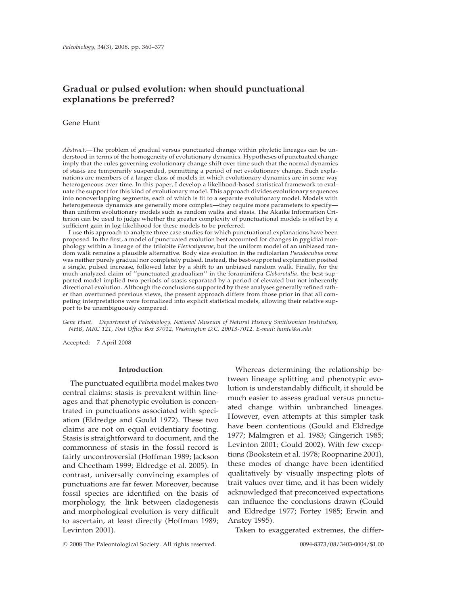# **Gradual or pulsed evolution: when should punctuational explanations be preferred?**

# Gene Hunt

*Abstract.—*The problem of gradual versus punctuated change within phyletic lineages can be understood in terms of the homogeneity of evolutionary dynamics. Hypotheses of punctuated change imply that the rules governing evolutionary change shift over time such that the normal dynamics of stasis are temporarily suspended, permitting a period of net evolutionary change. Such explanations are members of a larger class of models in which evolutionary dynamics are in some way heterogeneous over time. In this paper, I develop a likelihood-based statistical framework to evaluate the support for this kind of evolutionary model. This approach divides evolutionary sequences into nonoverlapping segments, each of which is fit to a separate evolutionary model. Models with heterogeneous dynamics are generally more complex—they require more parameters to specify than uniform evolutionary models such as random walks and stasis. The Akaike Information Criterion can be used to judge whether the greater complexity of punctuational models is offset by a sufficient gain in log-likelihood for these models to be preferred.

I use this approach to analyze three case studies for which punctuational explanations have been proposed. In the first, a model of punctuated evolution best accounted for changes in pygidial morphology within a lineage of the trilobite *Flexicalymene*, but the uniform model of an unbiased random walk remains a plausible alternative. Body size evolution in the radiolarian *Pseudocubus vema* was neither purely gradual nor completely pulsed. Instead, the best-supported explanation posited a single, pulsed increase, followed later by a shift to an unbiased random walk. Finally, for the much-analyzed claim of ''punctuated gradualism'' in the foraminifera *Globorotalia*, the best-supported model implied two periods of stasis separated by a period of elevated but not inherently directional evolution. Although the conclusions supported by these analyses generally refined rather than overturned previous views, the present approach differs from those prior in that all competing interpretations were formalized into explicit statistical models, allowing their relative support to be unambiguously compared.

*Gene Hunt. Department of Paleobiology, National Museum of Natural History Smithsonian Institution, NHB, MRC 121, Post Office Box 37012, Washington D.C. 20013-7012. E-mail: hunte@si.edu*

Accepted: 7 April 2008

## **Introduction**

The punctuated equilibria model makes two central claims: stasis is prevalent within lineages and that phenotypic evolution is concentrated in punctuations associated with speciation (Eldredge and Gould 1972). These two claims are not on equal evidentiary footing. Stasis is straightforward to document, and the commonness of stasis in the fossil record is fairly uncontroversial (Hoffman 1989; Jackson and Cheetham 1999; Eldredge et al. 2005). In contrast, universally convincing examples of punctuations are far fewer. Moreover, because fossil species are identified on the basis of morphology, the link between cladogenesis and morphological evolution is very difficult to ascertain, at least directly (Hoffman 1989; Levinton 2001).

Whereas determining the relationship between lineage splitting and phenotypic evolution is understandably difficult, it should be much easier to assess gradual versus punctuated change within unbranched lineages. However, even attempts at this simpler task have been contentious (Gould and Eldredge 1977; Malmgren et al. 1983; Gingerich 1985; Levinton 2001; Gould 2002). With few exceptions (Bookstein et al. 1978; Roopnarine 2001), these modes of change have been identified qualitatively by visually inspecting plots of trait values over time, and it has been widely acknowledged that preconceived expectations can influence the conclusions drawn (Gould and Eldredge 1977; Fortey 1985; Erwin and Anstey 1995).

© 2008 The Paleontological Society. All rights reserved. 0094-8373/08/3403-0004/\$1.00

Taken to exaggerated extremes, the differ-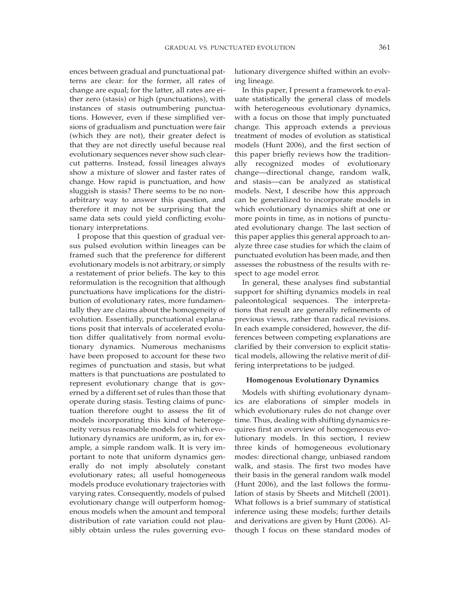ences between gradual and punctuational patterns are clear: for the former, all rates of change are equal; for the latter, all rates are either zero (stasis) or high (punctuations), with instances of stasis outnumbering punctuations. However, even if these simplified versions of gradualism and punctuation were fair (which they are not), their greater defect is that they are not directly useful because real evolutionary sequences never show such clearcut patterns. Instead, fossil lineages always show a mixture of slower and faster rates of change. How rapid is punctuation, and how sluggish is stasis? There seems to be no nonarbitrary way to answer this question, and therefore it may not be surprising that the same data sets could yield conflicting evolutionary interpretations.

I propose that this question of gradual versus pulsed evolution within lineages can be framed such that the preference for different evolutionary models is not arbitrary, or simply a restatement of prior beliefs. The key to this reformulation is the recognition that although punctuations have implications for the distribution of evolutionary rates, more fundamentally they are claims about the homogeneity of evolution. Essentially, punctuational explanations posit that intervals of accelerated evolution differ qualitatively from normal evolutionary dynamics. Numerous mechanisms have been proposed to account for these two regimes of punctuation and stasis, but what matters is that punctuations are postulated to represent evolutionary change that is governed by a different set of rules than those that operate during stasis. Testing claims of punctuation therefore ought to assess the fit of models incorporating this kind of heterogeneity versus reasonable models for which evolutionary dynamics are uniform, as in, for example, a simple random walk. It is very important to note that uniform dynamics generally do not imply absolutely constant evolutionary rates; all useful homogeneous models produce evolutionary trajectories with varying rates. Consequently, models of pulsed evolutionary change will outperform homogenous models when the amount and temporal distribution of rate variation could not plausibly obtain unless the rules governing evolutionary divergence shifted within an evolving lineage.

In this paper, I present a framework to evaluate statistically the general class of models with heterogeneous evolutionary dynamics, with a focus on those that imply punctuated change. This approach extends a previous treatment of modes of evolution as statistical models (Hunt 2006), and the first section of this paper briefly reviews how the traditionally recognized modes of evolutionary change—directional change, random walk, and stasis—can be analyzed as statistical models. Next, I describe how this approach can be generalized to incorporate models in which evolutionary dynamics shift at one or more points in time, as in notions of punctuated evolutionary change. The last section of this paper applies this general approach to analyze three case studies for which the claim of punctuated evolution has been made, and then assesses the robustness of the results with respect to age model error.

In general, these analyses find substantial support for shifting dynamics models in real paleontological sequences. The interpretations that result are generally refinements of previous views, rather than radical revisions. In each example considered, however, the differences between competing explanations are clarified by their conversion to explicit statistical models, allowing the relative merit of differing interpretations to be judged.

#### **Homogenous Evolutionary Dynamics**

Models with shifting evolutionary dynamics are elaborations of simpler models in which evolutionary rules do not change over time. Thus, dealing with shifting dynamics requires first an overview of homogeneous evolutionary models. In this section, I review three kinds of homogeneous evolutionary modes: directional change, unbiased random walk, and stasis. The first two modes have their basis in the general random walk model (Hunt 2006), and the last follows the formulation of stasis by Sheets and Mitchell (2001). What follows is a brief summary of statistical inference using these models; further details and derivations are given by Hunt (2006). Although I focus on these standard modes of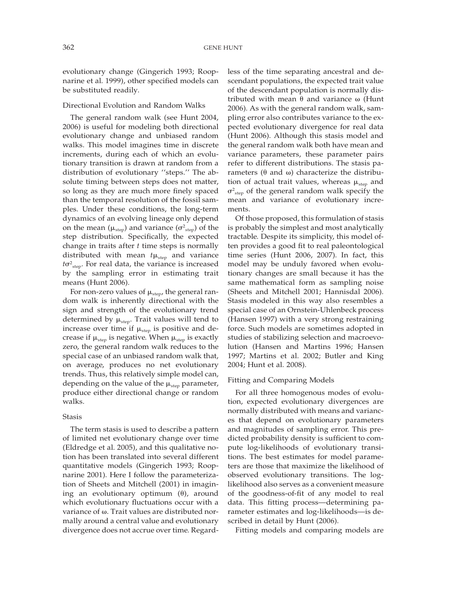evolutionary change (Gingerich 1993; Roopnarine et al. 1999), other specified models can be substituted readily.

# Directional Evolution and Random Walks

The general random walk (see Hunt 2004, 2006) is useful for modeling both directional evolutionary change and unbiased random walks. This model imagines time in discrete increments, during each of which an evolutionary transition is drawn at random from a distribution of evolutionary ''steps.'' The absolute timing between steps does not matter, so long as they are much more finely spaced than the temporal resolution of the fossil samples. Under these conditions, the long-term dynamics of an evolving lineage only depend on the mean ( $\mu_{\text{step}}$ ) and variance ( $\sigma_{\text{step}}^2$ ) of the step distribution. Specifically, the expected change in traits after *t* time steps is normally distributed with mean  $t\mu_{step}$  and variance  $t\sigma_{\rm step}^2$ . For real data, the variance is increased by the sampling error in estimating trait means (Hunt 2006).

For non-zero values of  $\mu_{\text{step}}$ , the general random walk is inherently directional with the sign and strength of the evolutionary trend determined by  $\mu_{step}$ . Trait values will tend to increase over time if  $\mu_{step}$  is positive and decrease if  $\mu_{step}$  is negative. When  $\mu_{step}$  is exactly zero, the general random walk reduces to the special case of an unbiased random walk that, on average, produces no net evolutionary trends. Thus, this relatively simple model can, depending on the value of the  $\mu_{step}$  parameter, produce either directional change or random walks.

#### Stasis

The term stasis is used to describe a pattern of limited net evolutionary change over time (Eldredge et al. 2005), and this qualitative notion has been translated into several different quantitative models (Gingerich 1993; Roopnarine 2001). Here I follow the parameterization of Sheets and Mitchell (2001) in imagining an evolutionary optimum  $(\theta)$ , around which evolutionary fluctuations occur with a variance of  $\omega$ . Trait values are distributed normally around a central value and evolutionary divergence does not accrue over time. Regardless of the time separating ancestral and descendant populations, the expected trait value of the descendant population is normally distributed with mean  $\theta$  and variance  $\omega$  (Hunt 2006). As with the general random walk, sampling error also contributes variance to the expected evolutionary divergence for real data (Hunt 2006). Although this stasis model and the general random walk both have mean and variance parameters, these parameter pairs refer to different distributions. The stasis parameters ( $\theta$  and  $\omega$ ) characterize the distribution of actual trait values, whereas  $\mu_{step}$  and  $\sigma^2$ <sub>step</sub> of the general random walk specify the mean and variance of evolutionary increments.

Of those proposed, this formulation of stasis is probably the simplest and most analytically tractable. Despite its simplicity, this model often provides a good fit to real paleontological time series (Hunt 2006, 2007). In fact, this model may be unduly favored when evolutionary changes are small because it has the same mathematical form as sampling noise (Sheets and Mitchell 2001; Hannisdal 2006). Stasis modeled in this way also resembles a special case of an Ornstein-Uhlenbeck process (Hansen 1997) with a very strong restraining force. Such models are sometimes adopted in studies of stabilizing selection and macroevolution (Hansen and Martins 1996; Hansen 1997; Martins et al. 2002; Butler and King 2004; Hunt et al. 2008).

#### Fitting and Comparing Models

For all three homogenous modes of evolution, expected evolutionary divergences are normally distributed with means and variances that depend on evolutionary parameters and magnitudes of sampling error. This predicted probability density is sufficient to compute log-likelihoods of evolutionary transitions. The best estimates for model parameters are those that maximize the likelihood of observed evolutionary transitions. The loglikelihood also serves as a convenient measure of the goodness-of-fit of any model to real data. This fitting process—determining parameter estimates and log-likelihoods—is described in detail by Hunt (2006).

Fitting models and comparing models are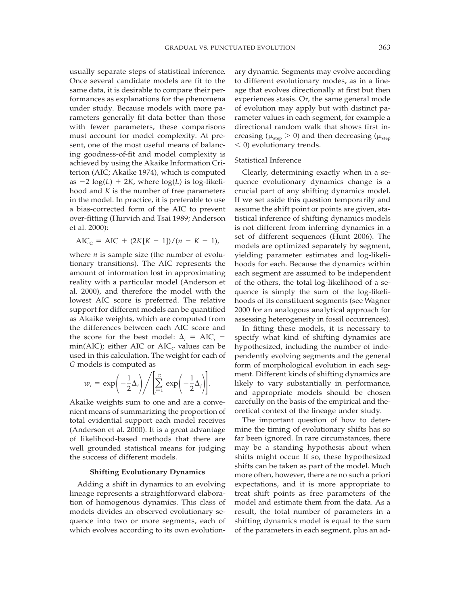usually separate steps of statistical inference. Once several candidate models are fit to the same data, it is desirable to compare their performances as explanations for the phenomena under study. Because models with more parameters generally fit data better than those with fewer parameters, these comparisons must account for model complexity. At present, one of the most useful means of balancing goodness-of-fit and model complexity is achieved by using the Akaike Information Criterion (AIC; Akaike 1974), which is computed as  $-2 \log(L) + 2K$ , where  $\log(L)$  is log-likelihood and *K* is the number of free parameters in the model. In practice, it is preferable to use a bias-corrected form of the AIC to prevent over-fitting (Hurvich and Tsai 1989; Anderson et al. 2000):

$$
AIC_{C} = AIC + (2K[K + 1])/ (n - K - 1),
$$

where *n* is sample size (the number of evolutionary transitions). The AIC represents the amount of information lost in approximating reality with a particular model (Anderson et al. 2000), and therefore the model with the lowest AIC score is preferred. The relative support for different models can be quantified as Akaike weights, which are computed from the differences between each AIC score and the score for the best model:  $\Delta_i$  = AIC<sub>*i*</sub>  $min(AIC)$ ; either AIC or AIC<sub>c</sub> values can be used in this calculation. The weight for each of *G* models is computed as

$$
w_i = \exp\left(-\frac{1}{2}\Delta_i\right) / \left[\sum_{j=1}^G \exp\left(-\frac{1}{2}\Delta_j\right)\right].
$$

Akaike weights sum to one and are a convenient means of summarizing the proportion of total evidential support each model receives (Anderson et al. 2000). It is a great advantage of likelihood-based methods that there are well grounded statistical means for judging the success of different models.

#### **Shifting Evolutionary Dynamics**

Adding a shift in dynamics to an evolving lineage represents a straightforward elaboration of homogenous dynamics. This class of models divides an observed evolutionary sequence into two or more segments, each of which evolves according to its own evolutionary dynamic. Segments may evolve according to different evolutionary modes, as in a lineage that evolves directionally at first but then experiences stasis. Or, the same general mode of evolution may apply but with distinct parameter values in each segment, for example a directional random walk that shows first increasing ( $\mu_{\text{step}} > 0$ ) and then decreasing ( $\mu_{\text{step}}$  $(0)$  evolutionary trends.

#### Statistical Inference

Clearly, determining exactly when in a sequence evolutionary dynamics change is a crucial part of any shifting dynamics model. If we set aside this question temporarily and assume the shift point or points are given, statistical inference of shifting dynamics models is not different from inferring dynamics in a set of different sequences (Hunt 2006). The models are optimized separately by segment, yielding parameter estimates and log-likelihoods for each. Because the dynamics within each segment are assumed to be independent of the others, the total log-likelihood of a sequence is simply the sum of the log-likelihoods of its constituent segments (see Wagner 2000 for an analogous analytical approach for assessing heterogeneity in fossil occurrences).

In fitting these models, it is necessary to specify what kind of shifting dynamics are hypothesized, including the number of independently evolving segments and the general form of morphological evolution in each segment. Different kinds of shifting dynamics are likely to vary substantially in performance, and appropriate models should be chosen carefully on the basis of the empirical and theoretical context of the lineage under study.

The important question of how to determine the timing of evolutionary shifts has so far been ignored. In rare circumstances, there may be a standing hypothesis about when shifts might occur. If so, these hypothesized shifts can be taken as part of the model. Much more often, however, there are no such a priori expectations, and it is more appropriate to treat shift points as free parameters of the model and estimate them from the data. As a result, the total number of parameters in a shifting dynamics model is equal to the sum of the parameters in each segment, plus an ad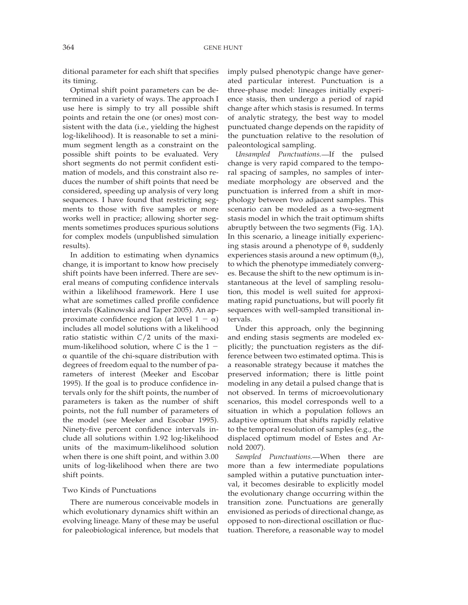ditional parameter for each shift that specifies its timing.

Optimal shift point parameters can be determined in a variety of ways. The approach I use here is simply to try all possible shift points and retain the one (or ones) most consistent with the data (i.e., yielding the highest log-likelihood). It is reasonable to set a minimum segment length as a constraint on the possible shift points to be evaluated. Very short segments do not permit confident estimation of models, and this constraint also reduces the number of shift points that need be considered, speeding up analysis of very long sequences. I have found that restricting segments to those with five samples or more works well in practice; allowing shorter segments sometimes produces spurious solutions for complex models (unpublished simulation results).

In addition to estimating when dynamics change, it is important to know how precisely shift points have been inferred. There are several means of computing confidence intervals within a likelihood framework. Here I use what are sometimes called profile confidence intervals (Kalinowski and Taper 2005). An approximate confidence region (at level  $1 - \alpha$ ) includes all model solutions with a likelihood ratio statistic within *C*/2 units of the maximum-likelihood solution, where *C* is the 1  $\alpha$  quantile of the chi-square distribution with degrees of freedom equal to the number of parameters of interest (Meeker and Escobar 1995). If the goal is to produce confidence intervals only for the shift points, the number of parameters is taken as the number of shift points, not the full number of parameters of the model (see Meeker and Escobar 1995). Ninety-five percent confidence intervals include all solutions within 1.92 log-likelihood units of the maximum-likelihood solution when there is one shift point, and within 3.00 units of log-likelihood when there are two shift points.

## Two Kinds of Punctuations

There are numerous conceivable models in which evolutionary dynamics shift within an evolving lineage. Many of these may be useful for paleobiological inference, but models that imply pulsed phenotypic change have generated particular interest. Punctuation is a three-phase model: lineages initially experience stasis, then undergo a period of rapid change after which stasis is resumed. In terms of analytic strategy, the best way to model punctuated change depends on the rapidity of the punctuation relative to the resolution of paleontological sampling.

*Unsampled Punctuations.* If the pulsed change is very rapid compared to the temporal spacing of samples, no samples of intermediate morphology are observed and the punctuation is inferred from a shift in morphology between two adjacent samples. This scenario can be modeled as a two-segment stasis model in which the trait optimum shifts abruptly between the two segments (Fig. 1A). In this scenario, a lineage initially experiencing stasis around a phenotype of  $\theta_1$  suddenly experiences stasis around a new optimum  $(\theta_2)$ , to which the phenotype immediately converges. Because the shift to the new optimum is instantaneous at the level of sampling resolution, this model is well suited for approximating rapid punctuations, but will poorly fit sequences with well-sampled transitional intervals.

Under this approach, only the beginning and ending stasis segments are modeled explicitly; the punctuation registers as the difference between two estimated optima. This is a reasonable strategy because it matches the preserved information; there is little point modeling in any detail a pulsed change that is not observed. In terms of microevolutionary scenarios, this model corresponds well to a situation in which a population follows an adaptive optimum that shifts rapidly relative to the temporal resolution of samples (e.g., the displaced optimum model of Estes and Arnold 2007).

*Sampled Punctuations.* When there are more than a few intermediate populations sampled within a putative punctuation interval, it becomes desirable to explicitly model the evolutionary change occurring within the transition zone. Punctuations are generally envisioned as periods of directional change, as opposed to non-directional oscillation or fluctuation. Therefore, a reasonable way to model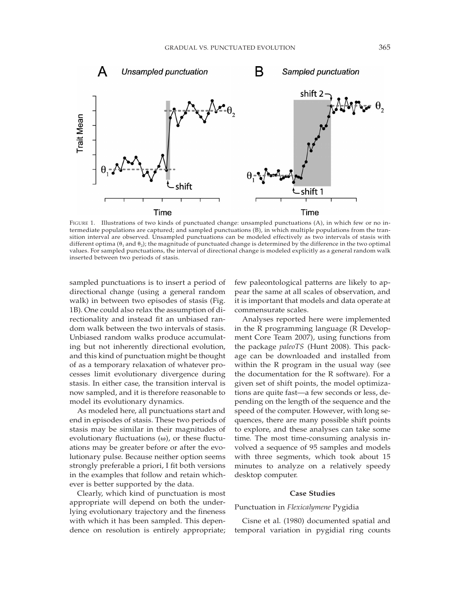

FIGURE 1. Illustrations of two kinds of punctuated change: unsampled punctuations (A), in which few or no intermediate populations are captured; and sampled punctuations (B), in which multiple populations from the transition interval are observed. Unsampled punctuations can be modeled effectively as two intervals of stasis with different optima ( $\theta_1$  and  $\theta_2$ ); the magnitude of punctuated change is determined by the difference in the two optimal values. For sampled punctuations, the interval of directional change is modeled explicitly as a general random walk inserted between two periods of stasis.

sampled punctuations is to insert a period of directional change (using a general random walk) in between two episodes of stasis (Fig. 1B). One could also relax the assumption of directionality and instead fit an unbiased random walk between the two intervals of stasis. Unbiased random walks produce accumulating but not inherently directional evolution, and this kind of punctuation might be thought of as a temporary relaxation of whatever processes limit evolutionary divergence during stasis. In either case, the transition interval is now sampled, and it is therefore reasonable to model its evolutionary dynamics.

As modeled here, all punctuations start and end in episodes of stasis. These two periods of stasis may be similar in their magnitudes of evolutionary fluctuations  $(\omega)$ , or these fluctuations may be greater before or after the evolutionary pulse. Because neither option seems strongly preferable a priori, I fit both versions in the examples that follow and retain whichever is better supported by the data.

Clearly, which kind of punctuation is most appropriate will depend on both the underlying evolutionary trajectory and the fineness with which it has been sampled. This dependence on resolution is entirely appropriate; few paleontological patterns are likely to appear the same at all scales of observation, and it is important that models and data operate at commensurate scales.

Analyses reported here were implemented in the R programming language (R Development Core Team 2007), using functions from the package *paleoTS* (Hunt 2008). This package can be downloaded and installed from within the R program in the usual way (see the documentation for the R software). For a given set of shift points, the model optimizations are quite fast—a few seconds or less, depending on the length of the sequence and the speed of the computer. However, with long sequences, there are many possible shift points to explore, and these analyses can take some time. The most time-consuming analysis involved a sequence of 95 samples and models with three segments, which took about 15 minutes to analyze on a relatively speedy desktop computer.

## **Case Studies**

### Punctuation in *Flexicalymene* Pygidia

Cisne et al. (1980) documented spatial and temporal variation in pygidial ring counts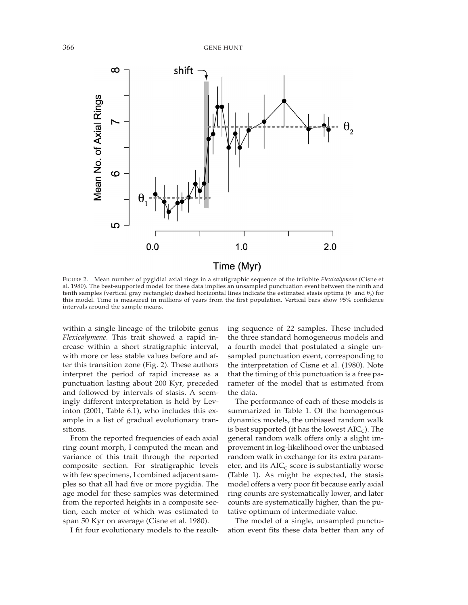

FIGURE 2. Mean number of pygidial axial rings in a stratigraphic sequence of the trilobite *Flexicalymene* (Cisne et al. 1980). The best-supported model for these data implies an unsampled punctuation event between the ninth and tenth samples (vertical gray rectangle); dashed horizontal lines indicate the estimated stasis optima ( $\theta_1$  and  $\theta_2$ ) for this model. Time is measured in millions of years from the first population. Vertical bars show 95% confidence intervals around the sample means.

within a single lineage of the trilobite genus *Flexicalymene*. This trait showed a rapid increase within a short stratigraphic interval, with more or less stable values before and after this transition zone (Fig. 2). These authors interpret the period of rapid increase as a punctuation lasting about 200 Kyr, preceded and followed by intervals of stasis. A seemingly different interpretation is held by Levinton (2001, Table 6.1), who includes this example in a list of gradual evolutionary transitions.

From the reported frequencies of each axial ring count morph, I computed the mean and variance of this trait through the reported composite section. For stratigraphic levels with few specimens, I combined adjacent samples so that all had five or more pygidia. The age model for these samples was determined from the reported heights in a composite section, each meter of which was estimated to span 50 Kyr on average (Cisne et al. 1980).

I fit four evolutionary models to the result-

ing sequence of 22 samples. These included the three standard homogeneous models and a fourth model that postulated a single unsampled punctuation event, corresponding to the interpretation of Cisne et al. (1980). Note that the timing of this punctuation is a free parameter of the model that is estimated from the data.

The performance of each of these models is summarized in Table 1. Of the homogenous dynamics models, the unbiased random walk is best supported (it has the lowest  $AIC_C$ ). The general random walk offers only a slight improvement in log-likelihood over the unbiased random walk in exchange for its extra parameter, and its  $AIC_C$  score is substantially worse (Table 1). As might be expected, the stasis model offers a very poor fit because early axial ring counts are systematically lower, and later counts are systematically higher, than the putative optimum of intermediate value.

The model of a single, unsampled punctuation event fits these data better than any of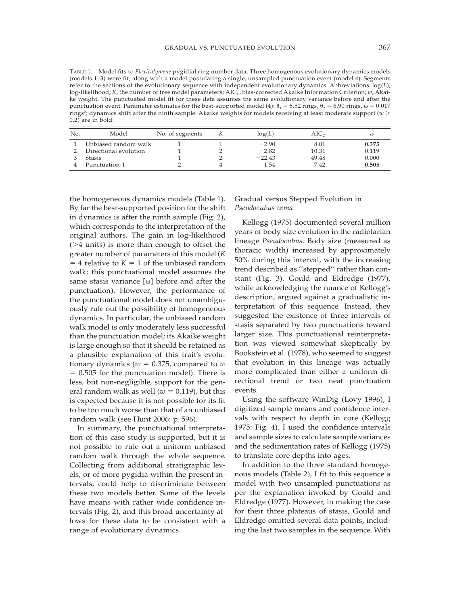TABLE 1. Model fits to *Flexicalymene* pygidial ring number data. Three homogenous evolutionary dynamics models (models 1–3) were fit, along with a model postulating a single, unsampled punctuation event (model 4). Segments refer to the sections of the evolutionary sequence with independent evolutionary dynamics. Abbreviations: log(*L*), log-likelihood; *K*, the number of free model parameters; AIC<sub>c</sub>, bias-corrected Akaike Information Criterion; *w*, Akaike weight. The punctuated model fit for these data assumes the same evolutionary variance before and after the punctuation event. Parameter estimates for the best-supported model (4):  $\theta_1 = 5.52$  rings,  $\theta_2 = 6.90$  rings,  $\omega = 0.017$ rings2 ; dynamics shift after the ninth sample. Akaike weights for models receiving at least moderate support (*w* 0.2) are in bold.

| No. | Model                 | No. of segments | log(L)   | $AIC_{c}$ | w     |
|-----|-----------------------|-----------------|----------|-----------|-------|
|     | Unbiased random walk  |                 | $-2.90$  | 8.01      | 0.375 |
|     | Directional evolution |                 | $-2.82$  | 10.31     | 0.119 |
|     | Stasis                |                 | $-22.43$ | 49.48     | 0.000 |
|     | Punctuation-1         |                 | 1.54     | 7.42      | 0.505 |

the homogeneous dynamics models (Table 1). By far the best-supported position for the shift in dynamics is after the ninth sample (Fig. 2), which corresponds to the interpretation of the original authors. The gain in log-likelihood ( 4 units) is more than enough to offset the greater number of parameters of this model (*K*  $=$  4 relative to  $K = 1$  of the unbiased random walk; this punctuational model assumes the same stasis variance  $[\omega]$  before and after the punctuation). However, the performance of the punctuational model does not unambiguously rule out the possibility of homogeneous dynamics. In particular, the unbiased random walk model is only moderately less successful than the punctuation model; its Akaike weight is large enough so that it should be retained as a plausible explanation of this trait's evolutionary dynamics ( $w = 0.375$ , compared to  $w$  $= 0.505$  for the punctuation model). There is less, but non-negligible, support for the general random walk as well ( $w = 0.119$ ), but this is expected because it is not possible for its fit to be too much worse than that of an unbiased random walk (see Hunt 2006: p. 596).

In summary, the punctuational interpretation of this case study is supported, but it is not possible to rule out a uniform unbiased random walk through the whole sequence. Collecting from additional stratigraphic levels, or of more pygidia within the present intervals, could help to discriminate between these two models better. Some of the levels have means with rather wide confidence intervals (Fig. 2), and this broad uncertainty allows for these data to be consistent with a range of evolutionary dynamics.

Gradual versus Stepped Evolution in *Pseudocubus vema*

Kellogg (1975) documented several million years of body size evolution in the radiolarian lineage *Pseudocubus*. Body size (measured as thoracic width) increased by approximately 50% during this interval, with the increasing trend described as ''stepped'' rather than constant (Fig. 3). Gould and Eldredge (1977), while acknowledging the nuance of Kellogg's description, argued against a gradualistic interpretation of this sequence. Instead, they suggested the existence of three intervals of stasis separated by two punctuations toward larger size. This punctuational reinterpretation was viewed somewhat skeptically by Bookstein et al. (1978), who seemed to suggest that evolution in this lineage was actually more complicated than either a uniform directional trend or two neat punctuation events.

Using the software WinDig (Lovy 1996), I digitized sample means and confidence intervals with respect to depth in core (Kellogg 1975: Fig. 4). I used the confidence intervals and sample sizes to calculate sample variances and the sedimentation rates of Kellogg (1975) to translate core depths into ages.

In addition to the three standard homogenous models (Table 2), I fit to this sequence a model with two unsampled punctuations as per the explanation invoked by Gould and Eldredge (1977). However, in making the case for their three plateaus of stasis, Gould and Eldredge omitted several data points, including the last two samples in the sequence. With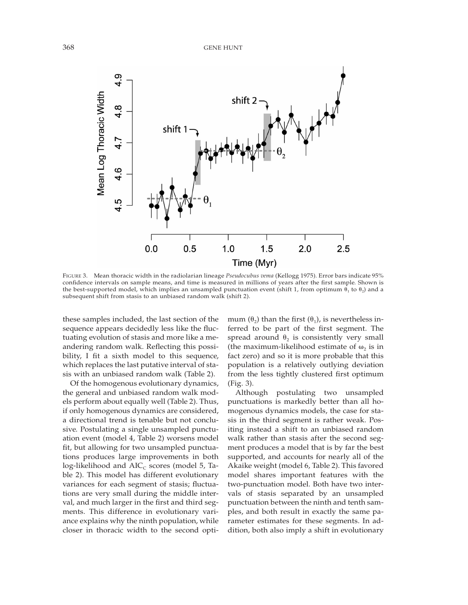

FIGURE 3. Mean thoracic width in the radiolarian lineage *Pseudocubus vema* (Kellogg 1975). Error bars indicate 95% confidence intervals on sample means, and time is measured in millions of years after the first sample. Shown is the best-supported model, which implies an unsampled punctuation event (shift 1, from optimum  $\theta_1$  to  $\theta_2$ ) and a subsequent shift from stasis to an unbiased random walk (shift 2).

these samples included, the last section of the sequence appears decidedly less like the fluctuating evolution of stasis and more like a meandering random walk. Reflecting this possibility, I fit a sixth model to this sequence, which replaces the last putative interval of stasis with an unbiased random walk (Table 2).

Of the homogenous evolutionary dynamics, the general and unbiased random walk models perform about equally well (Table 2). Thus, if only homogenous dynamics are considered, a directional trend is tenable but not conclusive. Postulating a single unsampled punctuation event (model 4, Table 2) worsens model fit, but allowing for two unsampled punctuations produces large improvements in both log-likelihood and  $AIC<sub>C</sub>$  scores (model 5, Table 2). This model has different evolutionary variances for each segment of stasis; fluctuations are very small during the middle interval, and much larger in the first and third segments. This difference in evolutionary variance explains why the ninth population, while closer in thoracic width to the second optimum  $(\theta_2)$  than the first  $(\theta_1)$ , is nevertheless inferred to be part of the first segment. The spread around  $\theta_2$  is consistently very small (the maximum-likelihood estimate of  $\omega_2$  is in fact zero) and so it is more probable that this population is a relatively outlying deviation from the less tightly clustered first optimum (Fig. 3).

Although postulating two unsampled punctuations is markedly better than all homogenous dynamics models, the case for stasis in the third segment is rather weak. Positing instead a shift to an unbiased random walk rather than stasis after the second segment produces a model that is by far the best supported, and accounts for nearly all of the Akaike weight (model 6, Table 2). This favored model shares important features with the two-punctuation model. Both have two intervals of stasis separated by an unsampled punctuation between the ninth and tenth samples, and both result in exactly the same parameter estimates for these segments. In addition, both also imply a shift in evolutionary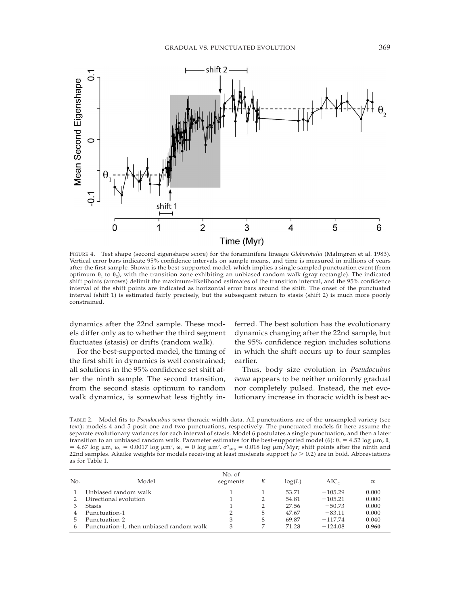

FIGURE 4. Test shape (second eigenshape score) for the foraminifera lineage *Globorotalia* (Malmgren et al. 1983). Vertical error bars indicate 95% confidence intervals on sample means, and time is measured in millions of years after the first sample. Shown is the best-supported model, which implies a single sampled punctuation event (from optimum  $\theta_1$  to  $\theta_2$ ), with the transition zone exhibiting an unbiased random walk (gray rectangle). The indicated shift points (arrows) delimit the maximum-likelihood estimates of the transition interval, and the 95% confidence interval of the shift points are indicated as horizontal error bars around the shift. The onset of the punctuated interval (shift 1) is estimated fairly precisely, but the subsequent return to stasis (shift 2) is much more poorly constrained.

dynamics after the 22nd sample. These models differ only as to whether the third segment fluctuates (stasis) or drifts (random walk).

For the best-supported model, the timing of the first shift in dynamics is well constrained; all solutions in the 95% confidence set shift after the ninth sample. The second transition, from the second stasis optimum to random walk dynamics, is somewhat less tightly inferred. The best solution has the evolutionary dynamics changing after the 22nd sample, but the 95% confidence region includes solutions in which the shift occurs up to four samples earlier.

Thus, body size evolution in *Pseudocubus vema* appears to be neither uniformly gradual nor completely pulsed. Instead, the net evolutionary increase in thoracic width is best ac-

TABLE 2. Model fits to *Pseudocubus vema* thoracic width data. All punctuations are of the unsampled variety (see text); models 4 and 5 posit one and two punctuations, respectively. The punctuated models fit here assume the separate evolutionary variances for each interval of stasis. Model 6 postulates a single punctuation, and then a later transition to an unbiased random walk. Parameter estimates for the best-supported model (6):  $\theta_1 = 4.52$  log  $\mu$ m,  $\theta_2$ = 4.67 log  $\mu$ m,  $\omega_1$  = 0.0017 log  $\mu$ m<sup>2</sup>,  $\omega_2$  = 0 log  $\mu$ m<sup>2</sup>,  $\sigma^2$ <sub>step</sub> = 0.018 log  $\mu$ m/Myr; shift points after the ninth and 22nd samples. Akaike weights for models receiving at least moderate support  $(w > 0.2)$  are in bold. Abbreviations as for Table 1.

| No. | Model                                    | No. of<br>segments | К  | log(L) | $AIC_{c}$ | w     |
|-----|------------------------------------------|--------------------|----|--------|-----------|-------|
|     | Unbiased random walk                     |                    |    | 53.71  | $-105.29$ | 0.000 |
|     | Directional evolution                    |                    |    | 54.81  | $-105.21$ | 0.000 |
|     | <b>Stasis</b>                            |                    |    | 27.56  | $-50.73$  | 0.000 |
|     | Punctuation-1                            |                    | 5. | 47.67  | $-83.11$  | 0.000 |
|     | Punctuation-2                            | 3                  | 8  | 69.87  | $-117.74$ | 0.040 |
| h   | Punctuation-1, then unbiased random walk | 3                  |    | 71.28  | $-124.08$ | 0.960 |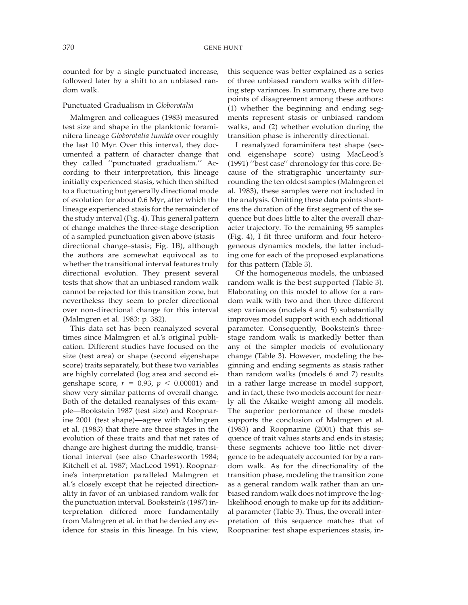counted for by a single punctuated increase, followed later by a shift to an unbiased random walk.

# Punctuated Gradualism in *Globorotalia*

Malmgren and colleagues (1983) measured test size and shape in the planktonic foraminifera lineage *Globorotalia tumida* over roughly the last 10 Myr. Over this interval, they documented a pattern of character change that they called ''punctuated gradualism.'' According to their interpretation, this lineage initially experienced stasis, which then shifted to a fluctuating but generally directional mode of evolution for about 0.6 Myr, after which the lineage experienced stasis for the remainder of the study interval (Fig. 4). This general pattern of change matches the three-stage description of a sampled punctuation given above (stasis– directional change–stasis; Fig. 1B), although the authors are somewhat equivocal as to whether the transitional interval features truly directional evolution. They present several tests that show that an unbiased random walk cannot be rejected for this transition zone, but nevertheless they seem to prefer directional over non-directional change for this interval (Malmgren et al. 1983: p. 382).

This data set has been reanalyzed several times since Malmgren et al.'s original publication. Different studies have focused on the size (test area) or shape (second eigenshape score) traits separately, but these two variables are highly correlated (log area and second eigenshape score,  $r = 0.93$ ,  $p < 0.00001$ ) and show very similar patterns of overall change. Both of the detailed reanalyses of this example—Bookstein 1987 (test size) and Roopnarine 2001 (test shape)—agree with Malmgren et al. (1983) that there are three stages in the evolution of these traits and that net rates of change are highest during the middle, transitional interval (see also Charlesworth 1984; Kitchell et al. 1987; MacLeod 1991). Roopnarine's interpretation paralleled Malmgren et al.'s closely except that he rejected directionality in favor of an unbiased random walk for the punctuation interval. Bookstein's (1987) interpretation differed more fundamentally from Malmgren et al. in that he denied any evidence for stasis in this lineage. In his view,

this sequence was better explained as a series of three unbiased random walks with differing step variances. In summary, there are two points of disagreement among these authors: (1) whether the beginning and ending segments represent stasis or unbiased random walks, and (2) whether evolution during the transition phase is inherently directional.

I reanalyzed foraminifera test shape (second eigenshape score) using MacLeod's (1991) ''best case'' chronology for this core. Because of the stratigraphic uncertainty surrounding the ten oldest samples (Malmgren et al. 1983), these samples were not included in the analysis. Omitting these data points shortens the duration of the first segment of the sequence but does little to alter the overall character trajectory. To the remaining 95 samples (Fig. 4), I fit three uniform and four heterogeneous dynamics models, the latter including one for each of the proposed explanations for this pattern (Table 3).

Of the homogeneous models, the unbiased random walk is the best supported (Table 3). Elaborating on this model to allow for a random walk with two and then three different step variances (models 4 and 5) substantially improves model support with each additional parameter. Consequently, Bookstein's threestage random walk is markedly better than any of the simpler models of evolutionary change (Table 3). However, modeling the beginning and ending segments as stasis rather than random walks (models 6 and 7) results in a rather large increase in model support, and in fact, these two models account for nearly all the Akaike weight among all models. The superior performance of these models supports the conclusion of Malmgren et al. (1983) and Roopnarine (2001) that this sequence of trait values starts and ends in stasis; these segments achieve too little net divergence to be adequately accounted for by a random walk. As for the directionality of the transition phase, modeling the transition zone as a general random walk rather than an unbiased random walk does not improve the loglikelihood enough to make up for its additional parameter (Table 3). Thus, the overall interpretation of this sequence matches that of Roopnarine: test shape experiences stasis, in-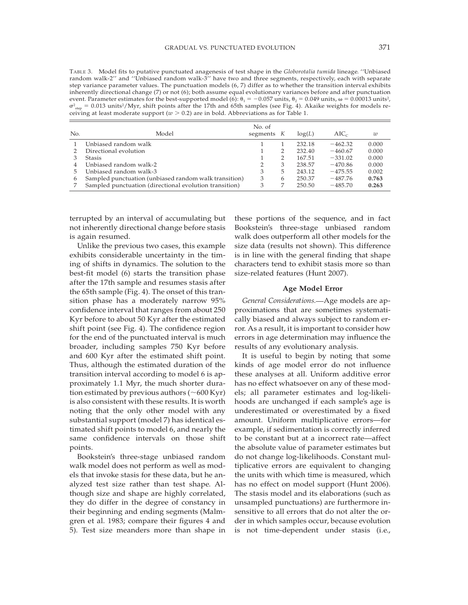TABLE 3. Model fits to putative punctuated anagenesis of test shape in the *Globorotalia tumida* lineage. ''Unbiased random walk-2'' and ''Unbiased random walk-3'' have two and three segments, respectively, each with separate step variance parameter values. The punctuation models (6, 7) differ as to whether the transition interval exhibits inherently directional change (7) or not (6); both assume equal evolutionary variances before and after punctuation event. Parameter estimates for the best-supported model (6):  $\theta_1 = -0.057$  units,  $\theta_2 = 0.049$  units,  $\omega = 0.00013$  units<sup>2</sup>,  $\sigma_{\rm step}^2$  = 0.013 units<sup>2</sup>/Myr, shift points after the 17th and 65th samples (see Fig. 4). Akaike weights for models receiving at least moderate support ( $w > 0.2$ ) are in bold. Abbreviations as for Table 1.

| No. | Model                                                  | No. of<br>segments K |    | log(L) | $AIC_{c}$ | w     |
|-----|--------------------------------------------------------|----------------------|----|--------|-----------|-------|
|     | Unbiased random walk                                   |                      |    | 232.18 | $-462.32$ | 0.000 |
|     | Directional evolution                                  |                      |    | 232.40 | $-460.67$ | 0.000 |
|     | <b>Stasis</b>                                          |                      | 2  | 167.51 | $-331.02$ | 0.000 |
| 4   | Unbiased random walk-2                                 |                      | 3  | 238.57 | $-470.86$ | 0.000 |
| b.  | Unbiased random walk-3                                 |                      | 5. | 243.12 | $-475.55$ | 0.002 |
| 6   | Sampled punctuation (unbiased random walk transition)  |                      | 6  | 250.37 | $-487.76$ | 0.763 |
|     | Sampled punctuation (directional evolution transition) |                      |    | 250.50 | $-485.70$ | 0.263 |

terrupted by an interval of accumulating but not inherently directional change before stasis is again resumed.

Unlike the previous two cases, this example exhibits considerable uncertainty in the timing of shifts in dynamics. The solution to the best-fit model (6) starts the transition phase after the 17th sample and resumes stasis after the 65th sample (Fig. 4). The onset of this transition phase has a moderately narrow 95% confidence interval that ranges from about 250 Kyr before to about 50 Kyr after the estimated shift point (see Fig. 4). The confidence region for the end of the punctuated interval is much broader, including samples 750 Kyr before and 600 Kyr after the estimated shift point. Thus, although the estimated duration of the transition interval according to model 6 is approximately 1.1 Myr, the much shorter duration estimated by previous authors ( $\sim$  600 Kyr) is also consistent with these results. It is worth noting that the only other model with any substantial support (model 7) has identical estimated shift points to model 6, and nearly the same confidence intervals on those shift points.

Bookstein's three-stage unbiased random walk model does not perform as well as models that invoke stasis for these data, but he analyzed test size rather than test shape. Although size and shape are highly correlated, they do differ in the degree of constancy in their beginning and ending segments (Malmgren et al. 1983; compare their figures 4 and 5). Test size meanders more than shape in

these portions of the sequence, and in fact Bookstein's three-stage unbiased random walk does outperform all other models for the size data (results not shown). This difference is in line with the general finding that shape characters tend to exhibit stasis more so than size-related features (Hunt 2007).

### **Age Model Error**

*General Considerations.* Age models are approximations that are sometimes systematically biased and always subject to random error. As a result, it is important to consider how errors in age determination may influence the results of any evolutionary analysis.

It is useful to begin by noting that some kinds of age model error do not influence these analyses at all. Uniform additive error has no effect whatsoever on any of these models; all parameter estimates and log-likelihoods are unchanged if each sample's age is underestimated or overestimated by a fixed amount. Uniform multiplicative errors—for example, if sedimentation is correctly inferred to be constant but at a incorrect rate—affect the absolute value of parameter estimates but do not change log-likelihoods. Constant multiplicative errors are equivalent to changing the units with which time is measured, which has no effect on model support (Hunt 2006). The stasis model and its elaborations (such as unsampled punctuations) are furthermore insensitive to all errors that do not alter the order in which samples occur, because evolution is not time-dependent under stasis (i.e.,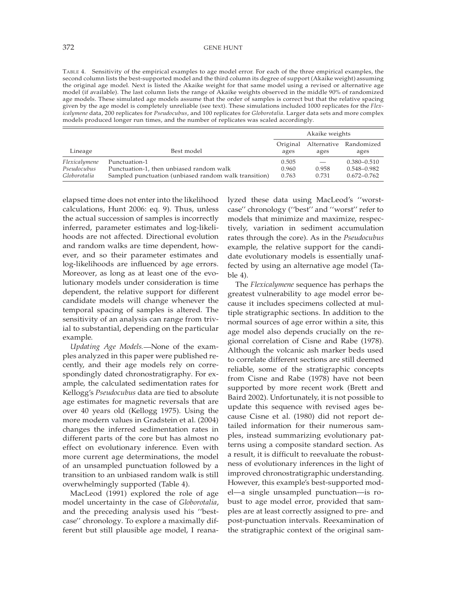TABLE 4. Sensitivity of the empirical examples to age model error. For each of the three empirical examples, the second column lists the best-supported model and the third column its degree of support (Akaike weight) assuming the original age model. Next is listed the Akaike weight for that same model using a revised or alternative age model (if available). The last column lists the range of Akaike weights observed in the middle 90% of randomized age models. These simulated age models assume that the order of samples is correct but that the relative spacing given by the age model is completely unreliable (see text). These simulations included 1000 replicates for the *Flexicalymene* data, 200 replicates for *Pseudocubus*, and 100 replicates for *Globorotalia*. Larger data sets and more complex models produced longer run times, and the number of replicates was scaled accordingly.

|                                              |                                                                                                                    | Akaike weights          |                |                                                       |
|----------------------------------------------|--------------------------------------------------------------------------------------------------------------------|-------------------------|----------------|-------------------------------------------------------|
| Lineage                                      | Best model                                                                                                         | Original<br>ages        | ages           | Alternative Randomized<br>ages                        |
| Flexicalymene<br>Pseudocubus<br>Globorotalia | Punctuation-1<br>Punctuation-1, then unbiased random walk<br>Sampled punctuation (unbiased random walk transition) | 0.505<br>0.960<br>0.763 | 0.958<br>0.731 | $0.380 - 0.510$<br>$0.548 - 0.982$<br>$0.672 - 0.762$ |

elapsed time does not enter into the likelihood calculations, Hunt 2006: eq. 9). Thus, unless the actual succession of samples is incorrectly inferred, parameter estimates and log-likelihoods are not affected. Directional evolution and random walks are time dependent, however, and so their parameter estimates and log-likelihoods are influenced by age errors. Moreover, as long as at least one of the evolutionary models under consideration is time dependent, the relative support for different candidate models will change whenever the temporal spacing of samples is altered. The sensitivity of an analysis can range from trivial to substantial, depending on the particular example.

*Updating Age Models.* None of the examples analyzed in this paper were published recently, and their age models rely on correspondingly dated chronostratigraphy. For example, the calculated sedimentation rates for Kellogg's *Pseudocubus* data are tied to absolute age estimates for magnetic reversals that are over 40 years old (Kellogg 1975). Using the more modern values in Gradstein et al. (2004) changes the inferred sedimentation rates in different parts of the core but has almost no effect on evolutionary inference. Even with more current age determinations, the model of an unsampled punctuation followed by a transition to an unbiased random walk is still overwhelmingly supported (Table 4).

MacLeod (1991) explored the role of age model uncertainty in the case of *Globorotalia*, and the preceding analysis used his ''bestcase'' chronology. To explore a maximally different but still plausible age model, I reanalyzed these data using MacLeod's ''worstcase'' chronology (''best'' and ''worst'' refer to models that minimize and maximize, respectively, variation in sediment accumulation rates through the core). As in the *Pseudocubus* example, the relative support for the candidate evolutionary models is essentially unaffected by using an alternative age model (Table 4).

The *Flexicalymene* sequence has perhaps the greatest vulnerability to age model error because it includes specimens collected at multiple stratigraphic sections. In addition to the normal sources of age error within a site, this age model also depends crucially on the regional correlation of Cisne and Rabe (1978). Although the volcanic ash marker beds used to correlate different sections are still deemed reliable, some of the stratigraphic concepts from Cisne and Rabe (1978) have not been supported by more recent work (Brett and Baird 2002). Unfortunately, it is not possible to update this sequence with revised ages because Cisne et al. (1980) did not report detailed information for their numerous samples, instead summarizing evolutionary patterns using a composite standard section. As a result, it is difficult to reevaluate the robustness of evolutionary inferences in the light of improved chronostratigraphic understanding. However, this example's best-supported model—a single unsampled punctuation—is robust to age model error, provided that samples are at least correctly assigned to pre- and post-punctuation intervals. Reexamination of the stratigraphic context of the original sam-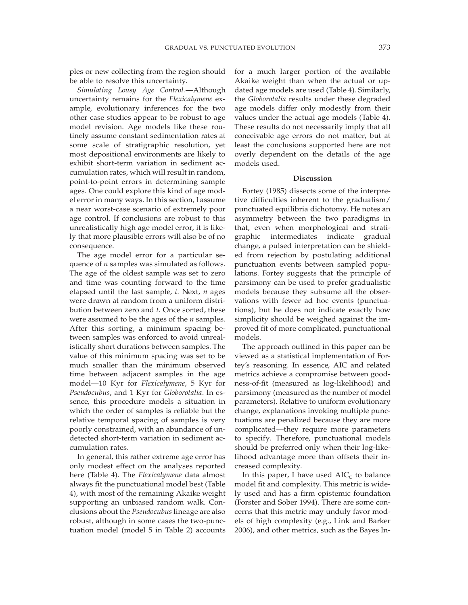ples or new collecting from the region should be able to resolve this uncertainty.

*Simulating Lousy Age Control.* Although uncertainty remains for the *Flexicalymene* example, evolutionary inferences for the two other case studies appear to be robust to age model revision. Age models like these routinely assume constant sedimentation rates at some scale of stratigraphic resolution, yet most depositional environments are likely to exhibit short-term variation in sediment accumulation rates, which will result in random, point-to-point errors in determining sample ages. One could explore this kind of age model error in many ways. In this section, I assume a near worst-case scenario of extremely poor age control. If conclusions are robust to this unrealistically high age model error, it is likely that more plausible errors will also be of no consequence.

The age model error for a particular sequence of *n* samples was simulated as follows. The age of the oldest sample was set to zero and time was counting forward to the time elapsed until the last sample, *t.* Next, *n* ages were drawn at random from a uniform distribution between zero and *t.* Once sorted, these were assumed to be the ages of the *n* samples. After this sorting, a minimum spacing between samples was enforced to avoid unrealistically short durations between samples. The value of this minimum spacing was set to be much smaller than the minimum observed time between adjacent samples in the age model—10 Kyr for *Flexicalymene*, 5 Kyr for *Pseudocubus*, and 1 Kyr for *Globorotalia*. In essence, this procedure models a situation in which the order of samples is reliable but the relative temporal spacing of samples is very poorly constrained, with an abundance of undetected short-term variation in sediment accumulation rates.

In general, this rather extreme age error has only modest effect on the analyses reported here (Table 4). The *Flexicalymene* data almost always fit the punctuational model best (Table 4), with most of the remaining Akaike weight supporting an unbiased random walk. Conclusions about the *Pseudocubus* lineage are also robust, although in some cases the two-punctuation model (model 5 in Table 2) accounts for a much larger portion of the available Akaike weight than when the actual or updated age models are used (Table 4). Similarly, the *Globorotalia* results under these degraded age models differ only modestly from their values under the actual age models (Table 4). These results do not necessarily imply that all conceivable age errors do not matter, but at least the conclusions supported here are not overly dependent on the details of the age models used.

#### **Discussion**

Fortey (1985) dissects some of the interpretive difficulties inherent to the gradualism/ punctuated equilibria dichotomy. He notes an asymmetry between the two paradigms in that, even when morphological and stratigraphic intermediates indicate gradual change, a pulsed interpretation can be shielded from rejection by postulating additional punctuation events between sampled populations. Fortey suggests that the principle of parsimony can be used to prefer gradualistic models because they subsume all the observations with fewer ad hoc events (punctuations), but he does not indicate exactly how simplicity should be weighed against the improved fit of more complicated, punctuational models.

The approach outlined in this paper can be viewed as a statistical implementation of Fortey's reasoning. In essence, AIC and related metrics achieve a compromise between goodness-of-fit (measured as log-likelihood) and parsimony (measured as the number of model parameters). Relative to uniform evolutionary change, explanations invoking multiple punctuations are penalized because they are more complicated—they require more parameters to specify. Therefore, punctuational models should be preferred only when their log-likelihood advantage more than offsets their increased complexity.

In this paper, I have used  $AIC<sub>C</sub>$  to balance model fit and complexity. This metric is widely used and has a firm epistemic foundation (Forster and Sober 1994). There are some concerns that this metric may unduly favor models of high complexity (e.g., Link and Barker 2006), and other metrics, such as the Bayes In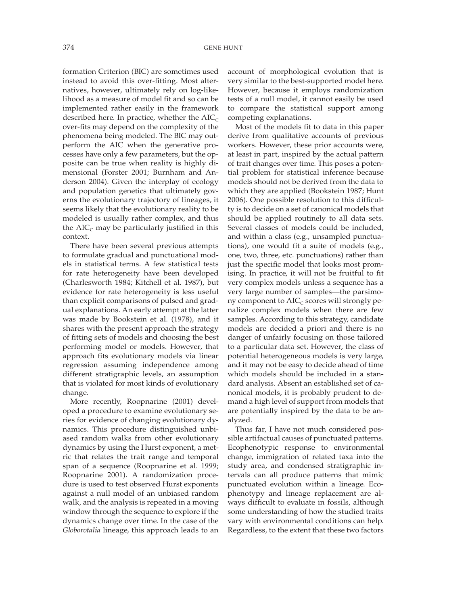formation Criterion (BIC) are sometimes used instead to avoid this over-fitting. Most alternatives, however, ultimately rely on log-likelihood as a measure of model fit and so can be implemented rather easily in the framework described here. In practice, whether the  $AIC_C$ over-fits may depend on the complexity of the phenomena being modeled. The BIC may outperform the AIC when the generative processes have only a few parameters, but the opposite can be true when reality is highly dimensional (Forster 2001; Burnham and Anderson 2004). Given the interplay of ecology and population genetics that ultimately governs the evolutionary trajectory of lineages, it seems likely that the evolutionary reality to be modeled is usually rather complex, and thus the  $AIC<sub>C</sub>$  may be particularly justified in this context.

There have been several previous attempts to formulate gradual and punctuational models in statistical terms. A few statistical tests for rate heterogeneity have been developed (Charlesworth 1984; Kitchell et al. 1987), but evidence for rate heterogeneity is less useful than explicit comparisons of pulsed and gradual explanations. An early attempt at the latter was made by Bookstein et al. (1978), and it shares with the present approach the strategy of fitting sets of models and choosing the best performing model or models. However, that approach fits evolutionary models via linear regression assuming independence among different stratigraphic levels, an assumption that is violated for most kinds of evolutionary change.

More recently, Roopnarine (2001) developed a procedure to examine evolutionary series for evidence of changing evolutionary dynamics. This procedure distinguished unbiased random walks from other evolutionary dynamics by using the Hurst exponent, a metric that relates the trait range and temporal span of a sequence (Roopnarine et al. 1999; Roopnarine 2001). A randomization procedure is used to test observed Hurst exponents against a null model of an unbiased random walk, and the analysis is repeated in a moving window through the sequence to explore if the dynamics change over time. In the case of the *Globorotalia* lineage, this approach leads to an

account of morphological evolution that is very similar to the best-supported model here. However, because it employs randomization tests of a null model, it cannot easily be used to compare the statistical support among competing explanations.

Most of the models fit to data in this paper derive from qualitative accounts of previous workers. However, these prior accounts were, at least in part, inspired by the actual pattern of trait changes over time. This poses a potential problem for statistical inference because models should not be derived from the data to which they are applied (Bookstein 1987; Hunt 2006). One possible resolution to this difficulty is to decide on a set of canonical models that should be applied routinely to all data sets. Several classes of models could be included, and within a class (e.g., unsampled punctuations), one would fit a suite of models (e.g., one, two, three, etc. punctuations) rather than just the specific model that looks most promising. In practice, it will not be fruitful to fit very complex models unless a sequence has a very large number of samples—the parsimony component to  $AIC<sub>c</sub>$  scores will strongly penalize complex models when there are few samples. According to this strategy, candidate models are decided a priori and there is no danger of unfairly focusing on those tailored to a particular data set. However, the class of potential heterogeneous models is very large, and it may not be easy to decide ahead of time which models should be included in a standard analysis. Absent an established set of canonical models, it is probably prudent to demand a high level of support from models that are potentially inspired by the data to be analyzed.

Thus far, I have not much considered possible artifactual causes of punctuated patterns. Ecophenotypic response to environmental change, immigration of related taxa into the study area, and condensed stratigraphic intervals can all produce patterns that mimic punctuated evolution within a lineage. Ecophenotypy and lineage replacement are always difficult to evaluate in fossils, although some understanding of how the studied traits vary with environmental conditions can help. Regardless, to the extent that these two factors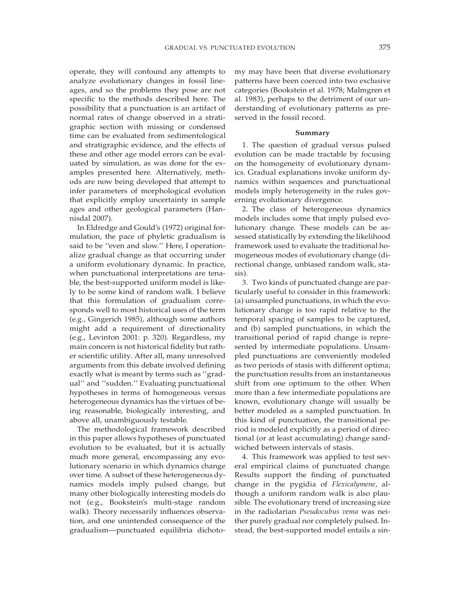operate, they will confound any attempts to analyze evolutionary changes in fossil lineages, and so the problems they pose are not specific to the methods described here. The possibility that a punctuation is an artifact of normal rates of change observed in a stratigraphic section with missing or condensed time can be evaluated from sedimentological and stratigraphic evidence, and the effects of these and other age model errors can be evaluated by simulation, as was done for the examples presented here. Alternatively, methods are now being developed that attempt to infer parameters of morphological evolution that explicitly employ uncertainty in sample ages and other geological parameters (Hannisdal 2007).

In Eldredge and Gould's (1972) original formulation, the pace of phyletic gradualism is said to be ''even and slow.'' Here, I operationalize gradual change as that occurring under a uniform evolutionary dynamic. In practice, when punctuational interpretations are tenable, the best-supported uniform model is likely to be some kind of random walk. I believe that this formulation of gradualism corresponds well to most historical uses of the term (e.g., Gingerich 1985), although some authors might add a requirement of directionality (e.g., Levinton 2001: p. 320). Regardless, my main concern is not historical fidelity but rather scientific utility. After all, many unresolved arguments from this debate involved defining exactly what is meant by terms such as ''gradual'' and ''sudden.'' Evaluating punctuational hypotheses in terms of homogeneous versus heterogeneous dynamics has the virtues of being reasonable, biologically interesting, and above all, unambiguously testable.

The methodological framework described in this paper allows hypotheses of punctuated evolution to be evaluated, but it is actually much more general, encompassing any evolutionary scenario in which dynamics change over time. A subset of these heterogeneous dynamics models imply pulsed change, but many other biologically interesting models do not (e.g., Bookstein's multi-stage random walk). Theory necessarily influences observation, and one unintended consequence of the gradualism—punctuated equilibria dichotomy may have been that diverse evolutionary patterns have been coerced into two exclusive categories (Bookstein et al. 1978; Malmgren et al. 1983), perhaps to the detriment of our understanding of evolutionary patterns as preserved in the fossil record.

#### **Summary**

1. The question of gradual versus pulsed evolution can be made tractable by focusing on the homogeneity of evolutionary dynamics. Gradual explanations invoke uniform dynamics within sequences and punctuational models imply heterogeneity in the rules governing evolutionary divergence.

2. The class of heterogeneous dynamics models includes some that imply pulsed evolutionary change. These models can be assessed statistically by extending the likelihood framework used to evaluate the traditional homogeneous modes of evolutionary change (directional change, unbiased random walk, stasis).

3. Two kinds of punctuated change are particularly useful to consider in this framework: (a) unsampled punctuations, in which the evolutionary change is too rapid relative to the temporal spacing of samples to be captured, and (b) sampled punctuations, in which the transitional period of rapid change is represented by intermediate populations. Unsampled punctuations are conveniently modeled as two periods of stasis with different optima; the punctuation results from an instantaneous shift from one optimum to the other. When more than a few intermediate populations are known, evolutionary change will usually be better modeled as a sampled punctuation. In this kind of punctuation, the transitional period is modeled explicitly as a period of directional (or at least accumulating) change sandwiched between intervals of stasis.

4. This framework was applied to test several empirical claims of punctuated change. Results support the finding of punctuated change in the pygidia of *Flexicalymene*, although a uniform random walk is also plausible. The evolutionary trend of increasing size in the radiolarian *Pseudocubus vema* was neither purely gradual nor completely pulsed. Instead, the best-supported model entails a sin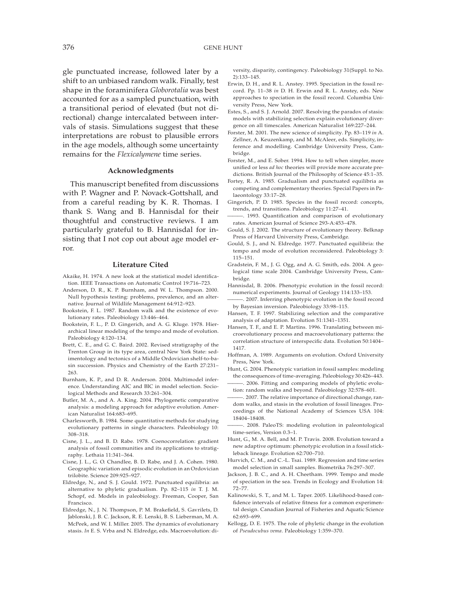gle punctuated increase, followed later by a shift to an unbiased random walk. Finally, test shape in the foraminifera *Globorotalia* was best accounted for as a sampled punctuation, with a transitional period of elevated (but not directional) change intercalated between intervals of stasis. Simulations suggest that these interpretations are robust to plausible errors in the age models, although some uncertainty remains for the *Flexicalymene* time series.

# **Acknowledgments**

This manuscript benefited from discussions with P. Wagner and P. Novack-Gottshall, and from a careful reading by K. R. Thomas. I thank S. Wang and B. Hannisdal for their thoughtful and constructive reviews. I am particularly grateful to B. Hannisdal for insisting that I not cop out about age model error.

# **Literature Cited**

- Akaike, H. 1974. A new look at the statistical model identification. IEEE Transactions on Automatic Control 19:716–723.
- Anderson, D. R., K. P. Burnham, and W. L. Thompson. 2000. Null hypothesis testing: problems, prevalence, and an alter-
- native. Journal of Wildlife Management 64:912–923. Bookstein, F. L. 1987. Random walk and the existence of evolutionary rates. Paleobiology 13:446–464.
- Bookstein, F. L., P. D. Gingerich, and A. G. Kluge. 1978. Hierarchical linear modeling of the tempo and mode of evolution. Paleobiology 4:120–134.
- Brett, C. E., and G. C. Baird. 2002. Revised stratigraphy of the Trenton Group in its type area, central New York State: sedimentology and tectonics of a Middle Ordovician shelf-to-basin succession. Physics and Chemistry of the Earth 27:231– 263.
- Burnham, K. P., and D. R. Anderson. 2004. Multimodel inference. Understanding AIC and BIC in model selection. Sociological Methods and Research 33:261–304.
- Butler, M. A., and A. A. King. 2004. Phylogenetic comparative analysis: a modeling approach for adaptive evolution. American Naturalist 164:683–695.
- Charlesworth, B. 1984. Some quantitative methods for studying evolutionary patterns in single characters. Paleobiology 10: 308–318.
- Cisne, J. L., and B. D. Rabe. 1978. Coenocorrelation: gradient analysis of fossil communities and its applications to stratigraphy. Lethaia 11:341–364.
- Cisne, J. L., G. O. Chandlee, B. D. Rabe, and J. A. Cohen. 1980. Geographic variation and episodic evolution in an Ordovician trilobite. Science 209:925–927.
- Eldredge, N., and S. J. Gould. 1972. Punctuated equilibria: an alternative to phyletic gradualism. Pp. 82–115 *in* T. J. M. Schopf, ed. Models in paleobiology. Freeman, Cooper, San Francisco.
- Eldredge, N., J. N. Thompson, P. M. Brakefield, S. Gavrilets, D. Jablonski, J. B. C. Jackson, R. E. Lenski, B. S. Lieberman, M. A. McPeek, and W. I. Miller. 2005. The dynamics of evolutionary stasis. *In* E. S. Vrba and N. Eldredge, eds. Macroevolution: di-

versity, disparity, contingency. Paleobiology 31(Suppl. to No. 2):133–145.

- Erwin, D. H., and R. L. Anstey. 1995. Speciation in the fossil record. Pp. 11–38 *in* D. H. Erwin and R. L. Anstey, eds. New approaches to speciation in the fossil record. Columbia University Press, New York.
- Estes, S., and S. J. Arnold. 2007. Resolving the paradox of stasis: models with stabilizing selection explain evolutionary divergence on all timescales. American Naturalist 169:227–244.
- Forster, M. 2001. The new science of simplicity. Pp. 83–119 *in* A. Zellner, A. Keuzenkamp, and M. McAleer, eds. Simplicity, inference and modelling. Cambridge University Press, Cambridge.
- Forster, M., and E. Sober. 1994. How to tell when simpler, more unified or less *ad hoc* theories will provide more accurate predictions. British Journal of the Philosophy of Science 45:1–35.
- Fortey, R. A. 1985. Gradualism and punctuated equilibria as competing and complementary theories. Special Papers in Palaeontology 33:17–28.
- Gingerich, P. D. 1985. Species in the fossil record: concepts, trends, and transitions. Paleobiology 11:27–41.

———. 1993. Quantification and comparison of evolutionary rates. American Journal of Science 293-A:453–478.

- Gould, S. J. 2002. The structure of evolutionary theory. Belknap Press of Harvard University Press, Cambridge.
- Gould, S. J., and N. Eldredge. 1977. Punctuated equilibria: the tempo and mode of evolution reconsidered. Paleobiology 3: 115–151.
- Gradstein, F. M., J. G. Ogg, and A. G. Smith, eds. 2004. A geological time scale 2004. Cambridge University Press, Cambridge.
- Hannisdal, B. 2006. Phenotypic evolution in the fossil record: numerical experiments. Journal of Geology 114:133–153.
- . 2007. Inferring phenotypic evolution in the fossil record by Bayesian inversion. Paleobiology 33:98–115.
- Hansen, T. F. 1997. Stabilizing selection and the comparative analysis of adaptation. Evolution 51:1341–1351.
- Hansen, T. F., and E. P. Martins. 1996. Translating between microevolutionary process and macroevolutionary patterns: the correlation structure of interspecific data. Evolution 50:1404– 1417.
- Hoffman, A. 1989. Arguments on evolution. Oxford University Press, New York.
- Hunt, G. 2004. Phenotypic variation in fossil samples: modeling the consequences of time-averaging. Paleobiology 30:426–443.
- 2006. Fitting and comparing models of phyletic evolution: random walks and beyond. Paleobiology 32:578–601.
- . 2007. The relative importance of directional change, random walks, and stasis in the evolution of fossil lineages. Proceedings of the National Academy of Sciences USA 104: 18404–18408.
- -. 2008. PaleoTS: modeling evolution in paleontological time-series, Version 0.3–1.
- Hunt, G., M. A. Bell, and M. P. Travis. 2008. Evolution toward a new adaptive optimum: phenotypic evolution in a fossil stickleback lineage. Evolution 62:700–710.
- Hurvich, C. M., and C.-L. Tsai. 1989. Regression and time series model selection in small samples. Biometrika 76:297–307.
- Jackson, J. B. C., and A. H. Cheetham. 1999. Tempo and mode of speciation in the sea. Trends in Ecology and Evolution 14: 72–77.
- Kalinowski, S. T., and M. L. Taper. 2005. Likelihood-based confidence intervals of relative fitness for a common experimental design. Canadian Journal of Fisheries and Aquatic Science 62:693–699.
- Kellogg, D. E. 1975. The role of phyletic change in the evolution of *Pseudocubus vema*. Paleobiology 1:359–370.